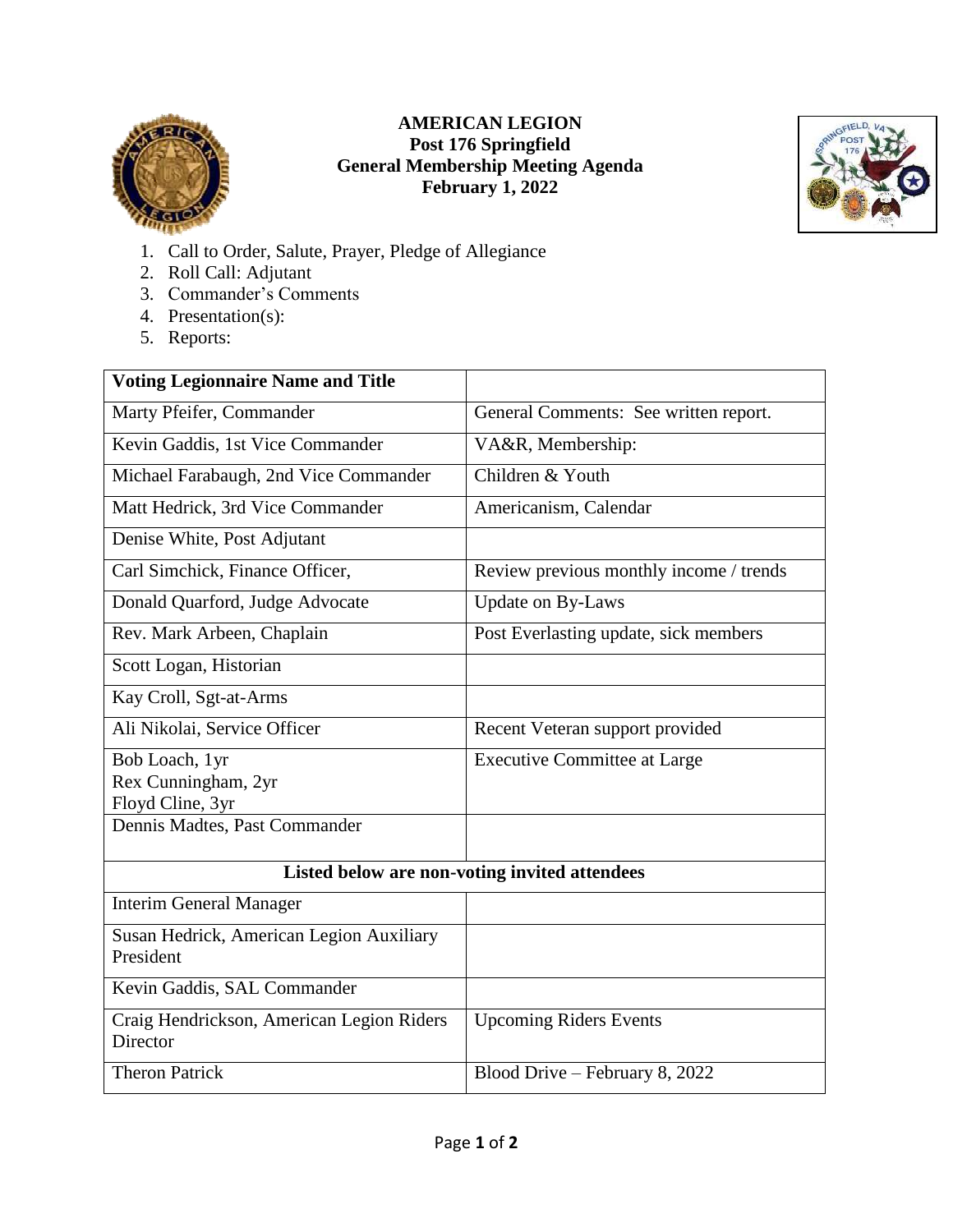

## **AMERICAN LEGION Post 176 Springfield General Membership Meeting Agenda February 1, 2022**



- 1. Call to Order, Salute, Prayer, Pledge of Allegiance
- 2. Roll Call: Adjutant
- 3. Commander's Comments
- 4. Presentation(s):
- 5. Reports:

| <b>Voting Legionnaire Name and Title</b>              |                                         |
|-------------------------------------------------------|-----------------------------------------|
| Marty Pfeifer, Commander                              | General Comments: See written report.   |
| Kevin Gaddis, 1st Vice Commander                      | VA&R, Membership:                       |
| Michael Farabaugh, 2nd Vice Commander                 | Children & Youth                        |
| Matt Hedrick, 3rd Vice Commander                      | Americanism, Calendar                   |
| Denise White, Post Adjutant                           |                                         |
| Carl Simchick, Finance Officer,                       | Review previous monthly income / trends |
| Donald Quarford, Judge Advocate                       | <b>Update on By-Laws</b>                |
| Rev. Mark Arbeen, Chaplain                            | Post Everlasting update, sick members   |
| Scott Logan, Historian                                |                                         |
| Kay Croll, Sgt-at-Arms                                |                                         |
| Ali Nikolai, Service Officer                          | Recent Veteran support provided         |
| Bob Loach, 1yr                                        | <b>Executive Committee at Large</b>     |
| Rex Cunningham, 2yr                                   |                                         |
| Floyd Cline, 3yr                                      |                                         |
| Dennis Madtes, Past Commander                         |                                         |
| Listed below are non-voting invited attendees         |                                         |
| <b>Interim General Manager</b>                        |                                         |
| Susan Hedrick, American Legion Auxiliary              |                                         |
| President                                             |                                         |
| Kevin Gaddis, SAL Commander                           |                                         |
| Craig Hendrickson, American Legion Riders<br>Director | <b>Upcoming Riders Events</b>           |
| <b>Theron Patrick</b>                                 | Blood Drive - February 8, 2022          |